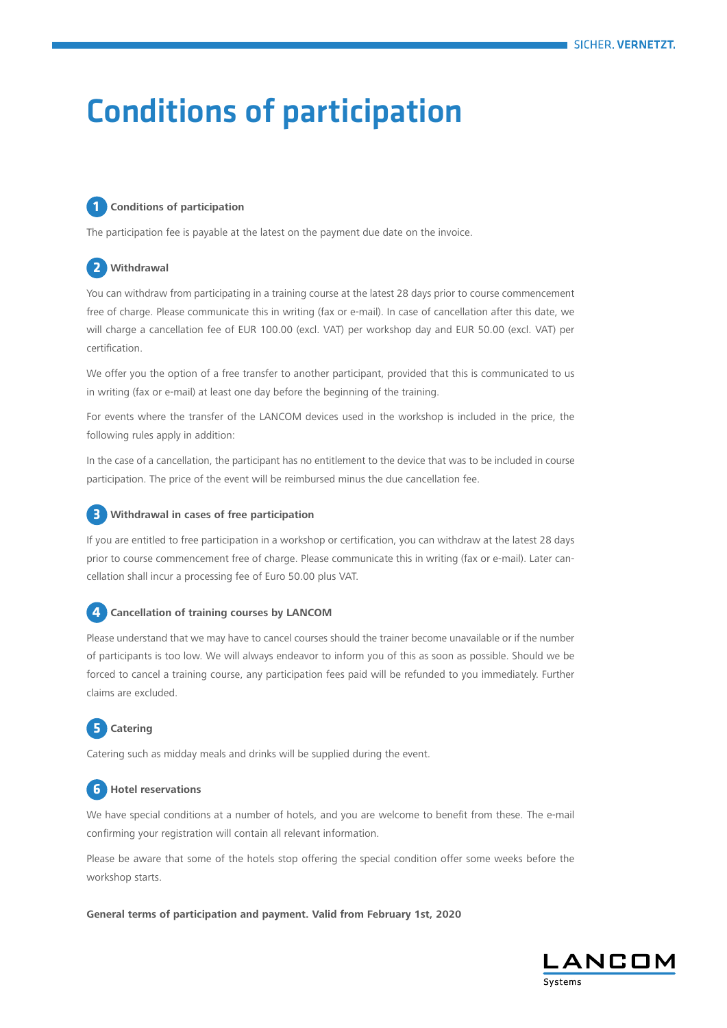# Conditions of participation

#### **1 Conditions of participation**

The participation fee is payable at the latest on the payment due date on the invoice.

## **2 Withdrawal**

You can withdraw from participating in a training course at the latest 28 days prior to course commencement free of charge. Please communicate this in writing (fax or e-mail). In case of cancellation after this date, we will charge a cancellation fee of EUR 100.00 (excl. VAT) per workshop day and EUR 50.00 (excl. VAT) per certification.

We offer you the option of a free transfer to another participant, provided that this is communicated to us in writing (fax or e-mail) at least one day before the beginning of the training.

For events where the transfer of the LANCOM devices used in the workshop is included in the price, the following rules apply in addition:

In the case of a cancellation, the participant has no entitlement to the device that was to be included in course participation. The price of the event will be reimbursed minus the due cancellation fee.

#### **3 Withdrawal in cases of free participation**

If you are entitled to free participation in a workshop or certification, you can withdraw at the latest 28 days prior to course commencement free of charge. Please communicate this in writing (fax or e-mail). Later cancellation shall incur a processing fee of Euro 50.00 plus VAT.

#### **4 Cancellation of training courses by LANCOM**

Please understand that we may have to cancel courses should the trainer become unavailable or if the number of participants is too low. We will always endeavor to inform you of this as soon as possible. Should we be forced to cancel a training course, any participation fees paid will be refunded to you immediately. Further claims are excluded.

# **5 Catering**

Catering such as midday meals and drinks will be supplied during the event.

#### **6 Hotel reservations**

We have special conditions at a number of hotels, and you are welcome to benefit from these. The e-mail confirming your registration will contain all relevant information.

Please be aware that some of the hotels stop offering the special condition offer some weeks before the workshop starts.

**General terms of participation and payment. Valid from February 1st, 2020**